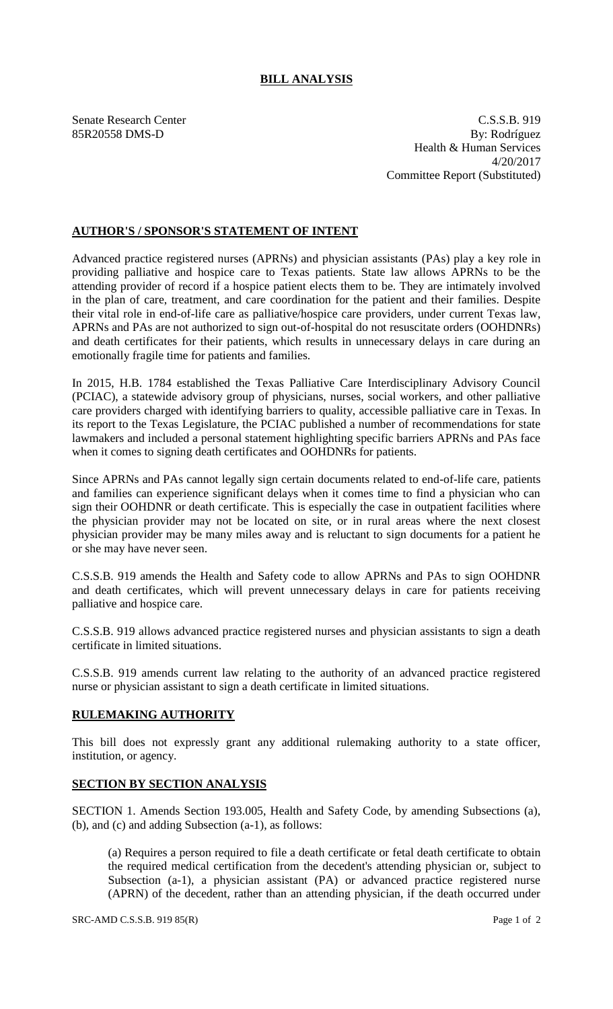## **BILL ANALYSIS**

Senate Research Center C.S.S.B. 919 85R20558 DMS-D By: Rodríguez Health & Human Services 4/20/2017 Committee Report (Substituted)

## **AUTHOR'S / SPONSOR'S STATEMENT OF INTENT**

Advanced practice registered nurses (APRNs) and physician assistants (PAs) play a key role in providing palliative and hospice care to Texas patients. State law allows APRNs to be the attending provider of record if a hospice patient elects them to be. They are intimately involved in the plan of care, treatment, and care coordination for the patient and their families. Despite their vital role in end-of-life care as palliative/hospice care providers, under current Texas law, APRNs and PAs are not authorized to sign out-of-hospital do not resuscitate orders (OOHDNRs) and death certificates for their patients, which results in unnecessary delays in care during an emotionally fragile time for patients and families.

In 2015, H.B. 1784 established the Texas Palliative Care Interdisciplinary Advisory Council (PCIAC), a statewide advisory group of physicians, nurses, social workers, and other palliative care providers charged with identifying barriers to quality, accessible palliative care in Texas. In its report to the Texas Legislature, the PCIAC published a number of recommendations for state lawmakers and included a personal statement highlighting specific barriers APRNs and PAs face when it comes to signing death certificates and OOHDNRs for patients.

Since APRNs and PAs cannot legally sign certain documents related to end-of-life care, patients and families can experience significant delays when it comes time to find a physician who can sign their OOHDNR or death certificate. This is especially the case in outpatient facilities where the physician provider may not be located on site, or in rural areas where the next closest physician provider may be many miles away and is reluctant to sign documents for a patient he or she may have never seen.

C.S.S.B. 919 amends the Health and Safety code to allow APRNs and PAs to sign OOHDNR and death certificates, which will prevent unnecessary delays in care for patients receiving palliative and hospice care.

C.S.S.B. 919 allows advanced practice registered nurses and physician assistants to sign a death certificate in limited situations.

C.S.S.B. 919 amends current law relating to the authority of an advanced practice registered nurse or physician assistant to sign a death certificate in limited situations.

## **RULEMAKING AUTHORITY**

This bill does not expressly grant any additional rulemaking authority to a state officer, institution, or agency.

## **SECTION BY SECTION ANALYSIS**

SECTION 1. Amends Section 193.005, Health and Safety Code, by amending Subsections (a), (b), and (c) and adding Subsection (a-1), as follows:

(a) Requires a person required to file a death certificate or fetal death certificate to obtain the required medical certification from the decedent's attending physician or, subject to Subsection (a-1), a physician assistant (PA) or advanced practice registered nurse (APRN) of the decedent, rather than an attending physician, if the death occurred under